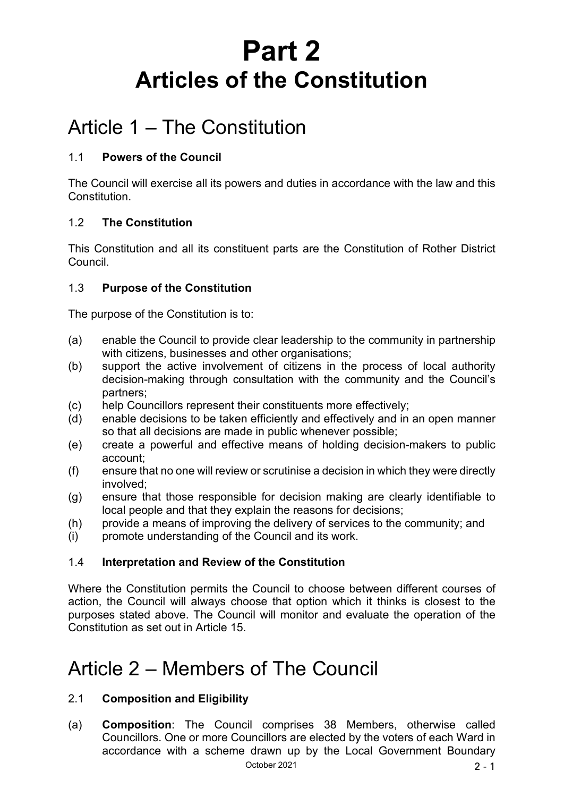# **Part 2 Articles of the Constitution**

## Article 1 – The Constitution

## 1.1 **Powers of the Council**

The Council will exercise all its powers and duties in accordance with the law and this **Constitution** 

## 1.2 **The Constitution**

This Constitution and all its constituent parts are the Constitution of Rother District Council.

## 1.3 **Purpose of the Constitution**

The purpose of the Constitution is to:

- (a) enable the Council to provide clear leadership to the community in partnership with citizens, businesses and other organisations;
- (b) support the active involvement of citizens in the process of local authority decision-making through consultation with the community and the Council's partners;
- (c) help Councillors represent their constituents more effectively;
- (d) enable decisions to be taken efficiently and effectively and in an open manner so that all decisions are made in public whenever possible;
- (e) create a powerful and effective means of holding decision-makers to public account;
- (f) ensure that no one will review or scrutinise a decision in which they were directly involved;
- (g) ensure that those responsible for decision making are clearly identifiable to local people and that they explain the reasons for decisions;
- (h) provide a means of improving the delivery of services to the community; and
- (i) promote understanding of the Council and its work.

## 1.4 **Interpretation and Review of the Constitution**

Where the Constitution permits the Council to choose between different courses of action, the Council will always choose that option which it thinks is closest to the purposes stated above. The Council will monitor and evaluate the operation of the Constitution as set out in Article 15.

## Article 2 – Members of The Council

## 2.1 **Composition and Eligibility**

October 2021 2 - 1 (a) **Composition**: The Council comprises 38 Members, otherwise called Councillors. One or more Councillors are elected by the voters of each Ward in accordance with a scheme drawn up by the Local Government Boundary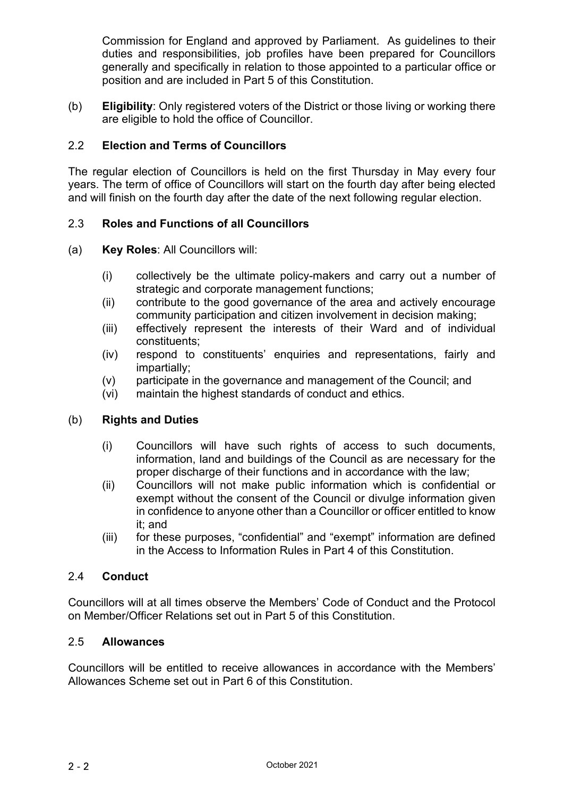Commission for England and approved by Parliament. As guidelines to their duties and responsibilities, job profiles have been prepared for Councillors generally and specifically in relation to those appointed to a particular office or position and are included in Part 5 of this Constitution.

(b) **Eligibility**: Only registered voters of the District or those living or working there are eligible to hold the office of Councillor.

### 2.2 **Election and Terms of Councillors**

The regular election of Councillors is held on the first Thursday in May every four years. The term of office of Councillors will start on the fourth day after being elected and will finish on the fourth day after the date of the next following regular election.

#### 2.3 **Roles and Functions of all Councillors**

- (a) **Key Roles**: All Councillors will:
	- (i) collectively be the ultimate policy-makers and carry out a number of strategic and corporate management functions;
	- (ii) contribute to the good governance of the area and actively encourage community participation and citizen involvement in decision making;
	- (iii) effectively represent the interests of their Ward and of individual constituents;
	- (iv) respond to constituents' enquiries and representations, fairly and impartially;
	- (v) participate in the governance and management of the Council; and
	- (vi) maintain the highest standards of conduct and ethics.

#### (b) **Rights and Duties**

- (i) Councillors will have such rights of access to such documents, information, land and buildings of the Council as are necessary for the proper discharge of their functions and in accordance with the law;
- (ii) Councillors will not make public information which is confidential or exempt without the consent of the Council or divulge information given in confidence to anyone other than a Councillor or officer entitled to know it; and
- (iii) for these purposes, "confidential" and "exempt" information are defined in the Access to Information Rules in Part 4 of this Constitution.

#### 2.4 **Conduct**

Councillors will at all times observe the Members' Code of Conduct and the Protocol on Member/Officer Relations set out in Part 5 of this Constitution.

#### 2.5 **Allowances**

Councillors will be entitled to receive allowances in accordance with the Members' Allowances Scheme set out in Part 6 of this Constitution.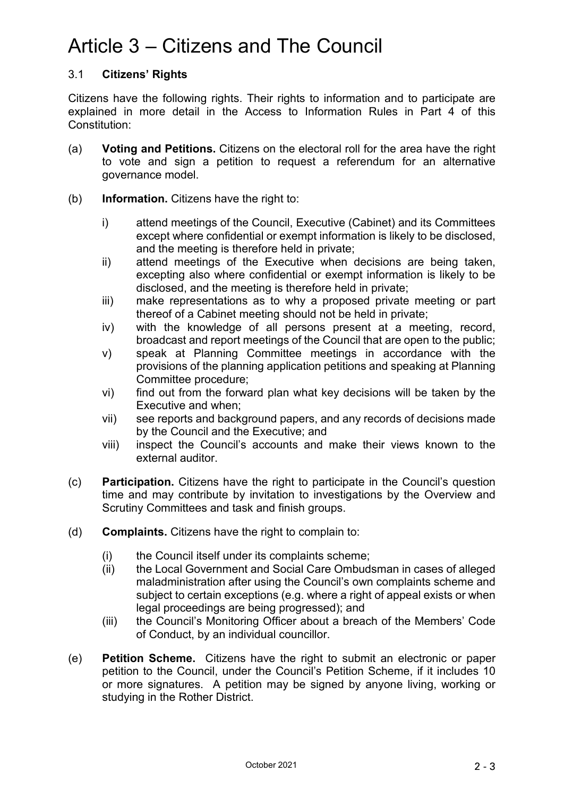## Article 3 – Citizens and The Council

## 3.1 **Citizens' Rights**

Citizens have the following rights. Their rights to information and to participate are explained in more detail in the Access to Information Rules in Part 4 of this Constitution:

- (a) **Voting and Petitions.** Citizens on the electoral roll for the area have the right to vote and sign a petition to request a referendum for an alternative governance model.
- (b) **Information.** Citizens have the right to:
	- i) attend meetings of the Council, Executive (Cabinet) and its Committees except where confidential or exempt information is likely to be disclosed, and the meeting is therefore held in private;
	- ii) attend meetings of the Executive when decisions are being taken, excepting also where confidential or exempt information is likely to be disclosed, and the meeting is therefore held in private;
	- iii) make representations as to why a proposed private meeting or part thereof of a Cabinet meeting should not be held in private;
	- iv) with the knowledge of all persons present at a meeting, record, broadcast and report meetings of the Council that are open to the public;
	- v) speak at Planning Committee meetings in accordance with the provisions of the planning application petitions and speaking at Planning Committee procedure;
	- vi) find out from the forward plan what key decisions will be taken by the Executive and when;
	- vii) see reports and background papers, and any records of decisions made by the Council and the Executive; and
	- viii) inspect the Council's accounts and make their views known to the external auditor.
- (c) **Participation.** Citizens have the right to participate in the Council's question time and may contribute by invitation to investigations by the Overview and Scrutiny Committees and task and finish groups.
- (d) **Complaints.** Citizens have the right to complain to:
	- (i) the Council itself under its complaints scheme;
	- (ii) the Local Government and Social Care Ombudsman in cases of alleged maladministration after using the Council's own complaints scheme and subject to certain exceptions (e.g. where a right of appeal exists or when legal proceedings are being progressed); and
	- (iii) the Council's Monitoring Officer about a breach of the Members' Code of Conduct, by an individual councillor.
- (e) **Petition Scheme.** Citizens have the right to submit an electronic or paper petition to the Council, under the Council's Petition Scheme, if it includes 10 or more signatures. A petition may be signed by anyone living, working or studying in the Rother District.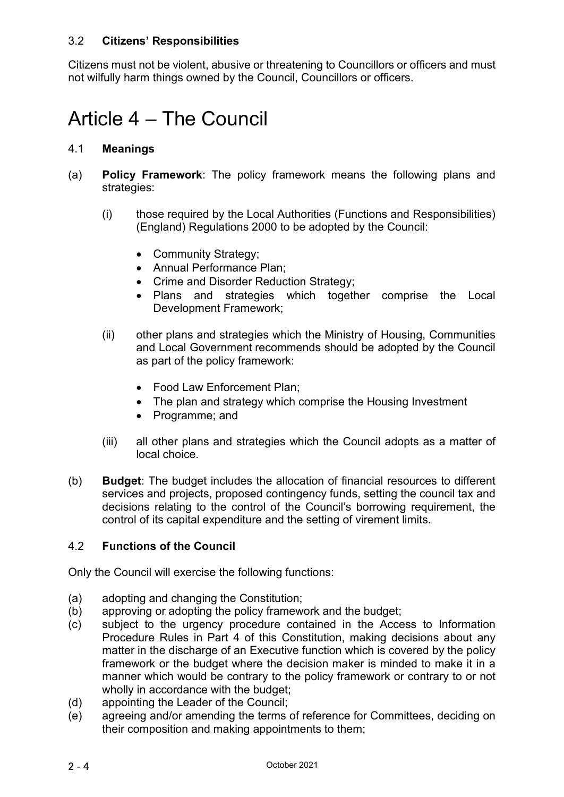### 3.2 **Citizens' Responsibilities**

Citizens must not be violent, abusive or threatening to Councillors or officers and must not wilfully harm things owned by the Council, Councillors or officers.

## Article 4 – The Council

#### 4.1 **Meanings**

- (a) **Policy Framework**: The policy framework means the following plans and strategies:
	- (i) those required by the Local Authorities (Functions and Responsibilities) (England) Regulations 2000 to be adopted by the Council:
		- Community Strategy;
		- Annual Performance Plan;
		- Crime and Disorder Reduction Strategy;
		- Plans and strategies which together comprise the Local Development Framework;
	- (ii) other plans and strategies which the Ministry of Housing, Communities and Local Government recommends should be adopted by the Council as part of the policy framework:
		- Food Law Enforcement Plan;
		- The plan and strategy which comprise the Housing Investment
		- Programme; and
	- (iii) all other plans and strategies which the Council adopts as a matter of local choice.
- (b) **Budget**: The budget includes the allocation of financial resources to different services and projects, proposed contingency funds, setting the council tax and decisions relating to the control of the Council's borrowing requirement, the control of its capital expenditure and the setting of virement limits.

#### 4.2 **Functions of the Council**

Only the Council will exercise the following functions:

- (a) adopting and changing the Constitution;
- (b) approving or adopting the policy framework and the budget;
- (c) subject to the urgency procedure contained in the Access to Information Procedure Rules in Part 4 of this Constitution, making decisions about any matter in the discharge of an Executive function which is covered by the policy framework or the budget where the decision maker is minded to make it in a manner which would be contrary to the policy framework or contrary to or not wholly in accordance with the budget;
- (d) appointing the Leader of the Council;
- (e) agreeing and/or amending the terms of reference for Committees, deciding on their composition and making appointments to them;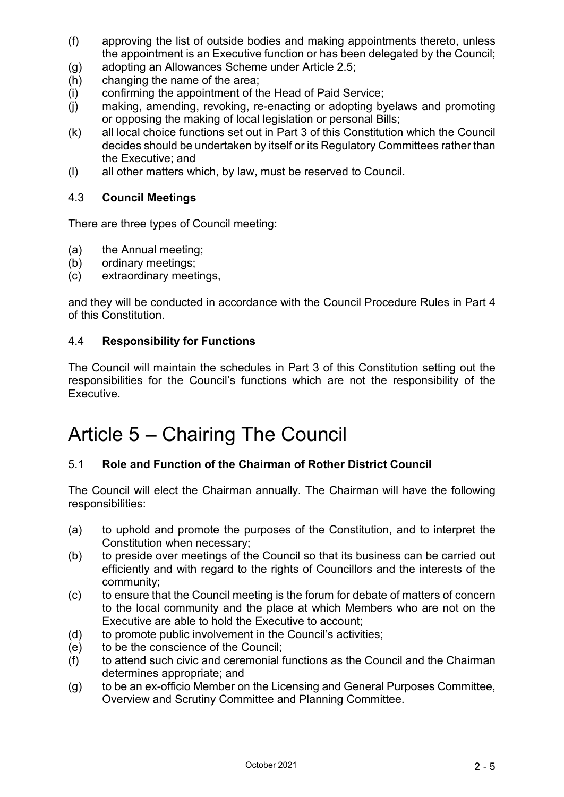- (f) approving the list of outside bodies and making appointments thereto, unless the appointment is an Executive function or has been delegated by the Council;
- (g) adopting an Allowances Scheme under Article 2.5;<br>(h) changing the name of the area;
- changing the name of the area;
- (i) confirming the appointment of the Head of Paid Service;
- (j) making, amending, revoking, re-enacting or adopting byelaws and promoting or opposing the making of local legislation or personal Bills;
- (k) all local choice functions set out in Part 3 of this Constitution which the Council decides should be undertaken by itself or its Regulatory Committees rather than the Executive; and
- (l) all other matters which, by law, must be reserved to Council.

### 4.3 **Council Meetings**

There are three types of Council meeting:

- (a) the Annual meeting;
- (b) ordinary meetings;
- (c) extraordinary meetings,

and they will be conducted in accordance with the Council Procedure Rules in Part 4 of this Constitution.

#### 4.4 **Responsibility for Functions**

The Council will maintain the schedules in Part 3 of this Constitution setting out the responsibilities for the Council's functions which are not the responsibility of the Executive.

## Article 5 – Chairing The Council

## 5.1 **Role and Function of the Chairman of Rother District Council**

The Council will elect the Chairman annually. The Chairman will have the following responsibilities:

- (a) to uphold and promote the purposes of the Constitution, and to interpret the Constitution when necessary;
- (b) to preside over meetings of the Council so that its business can be carried out efficiently and with regard to the rights of Councillors and the interests of the community;
- (c) to ensure that the Council meeting is the forum for debate of matters of concern to the local community and the place at which Members who are not on the Executive are able to hold the Executive to account;
- (d) to promote public involvement in the Council's activities;
- (e) to be the conscience of the Council;
- (f) to attend such civic and ceremonial functions as the Council and the Chairman determines appropriate; and
- (g) to be an ex-officio Member on the Licensing and General Purposes Committee, Overview and Scrutiny Committee and Planning Committee.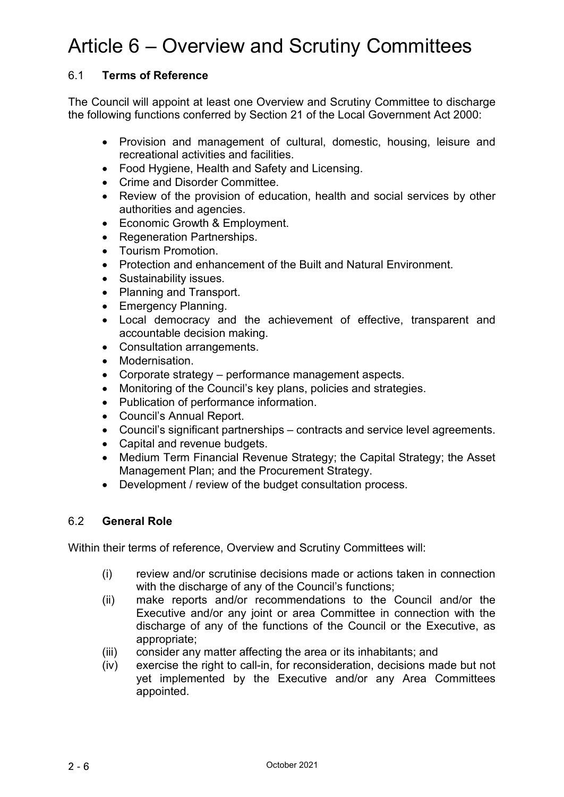## Article 6 – Overview and Scrutiny Committees

## 6.1 **Terms of Reference**

The Council will appoint at least one Overview and Scrutiny Committee to discharge the following functions conferred by Section 21 of the Local Government Act 2000:

- Provision and management of cultural, domestic, housing, leisure and recreational activities and facilities.
- Food Hygiene, Health and Safety and Licensing.
- Crime and Disorder Committee.
- Review of the provision of education, health and social services by other authorities and agencies.
- Economic Growth & Employment.
- Regeneration Partnerships.
- Tourism Promotion.
- Protection and enhancement of the Built and Natural Environment.
- Sustainability issues.
- Planning and Transport.
- Emergency Planning.
- Local democracy and the achievement of effective, transparent and accountable decision making.
- Consultation arrangements.
- Modernisation.
- Corporate strategy performance management aspects.
- Monitoring of the Council's key plans, policies and strategies.
- Publication of performance information.
- Council's Annual Report.
- Council's significant partnerships contracts and service level agreements.
- Capital and revenue budgets.
- Medium Term Financial Revenue Strategy; the Capital Strategy; the Asset Management Plan; and the Procurement Strategy.
- Development / review of the budget consultation process.

#### 6.2 **General Role**

Within their terms of reference, Overview and Scrutiny Committees will:

- (i) review and/or scrutinise decisions made or actions taken in connection with the discharge of any of the Council's functions;
- (ii) make reports and/or recommendations to the Council and/or the Executive and/or any joint or area Committee in connection with the discharge of any of the functions of the Council or the Executive, as appropriate;
- (iii) consider any matter affecting the area or its inhabitants; and
- (iv) exercise the right to call-in, for reconsideration, decisions made but not yet implemented by the Executive and/or any Area Committees appointed.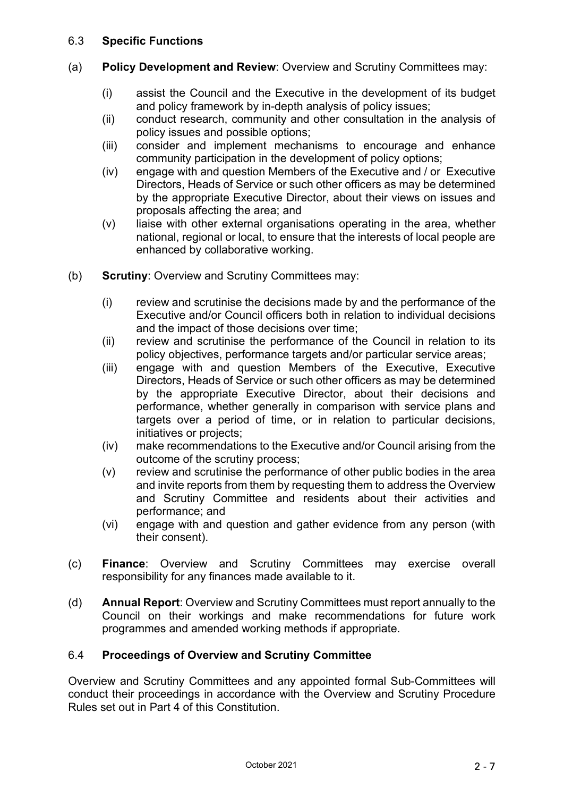### 6.3 **Specific Functions**

- (a) **Policy Development and Review**: Overview and Scrutiny Committees may:
	- (i) assist the Council and the Executive in the development of its budget and policy framework by in-depth analysis of policy issues;
	- (ii) conduct research, community and other consultation in the analysis of policy issues and possible options;
	- (iii) consider and implement mechanisms to encourage and enhance community participation in the development of policy options;
	- (iv) engage with and question Members of the Executive and / or Executive Directors, Heads of Service or such other officers as may be determined by the appropriate Executive Director, about their views on issues and proposals affecting the area; and
	- (v) liaise with other external organisations operating in the area, whether national, regional or local, to ensure that the interests of local people are enhanced by collaborative working.
- (b) **Scrutiny**: Overview and Scrutiny Committees may:
	- (i) review and scrutinise the decisions made by and the performance of the Executive and/or Council officers both in relation to individual decisions and the impact of those decisions over time;
	- (ii) review and scrutinise the performance of the Council in relation to its policy objectives, performance targets and/or particular service areas;
	- (iii) engage with and question Members of the Executive, Executive Directors, Heads of Service or such other officers as may be determined by the appropriate Executive Director, about their decisions and performance, whether generally in comparison with service plans and targets over a period of time, or in relation to particular decisions, initiatives or projects;
	- (iv) make recommendations to the Executive and/or Council arising from the outcome of the scrutiny process;
	- (v) review and scrutinise the performance of other public bodies in the area and invite reports from them by requesting them to address the Overview and Scrutiny Committee and residents about their activities and performance; and
	- (vi) engage with and question and gather evidence from any person (with their consent).
- (c) **Finance**: Overview and Scrutiny Committees may exercise overall responsibility for any finances made available to it.
- (d) **Annual Report**: Overview and Scrutiny Committees must report annually to the Council on their workings and make recommendations for future work programmes and amended working methods if appropriate.

## 6.4 **Proceedings of Overview and Scrutiny Committee**

Overview and Scrutiny Committees and any appointed formal Sub-Committees will conduct their proceedings in accordance with the Overview and Scrutiny Procedure Rules set out in Part 4 of this Constitution.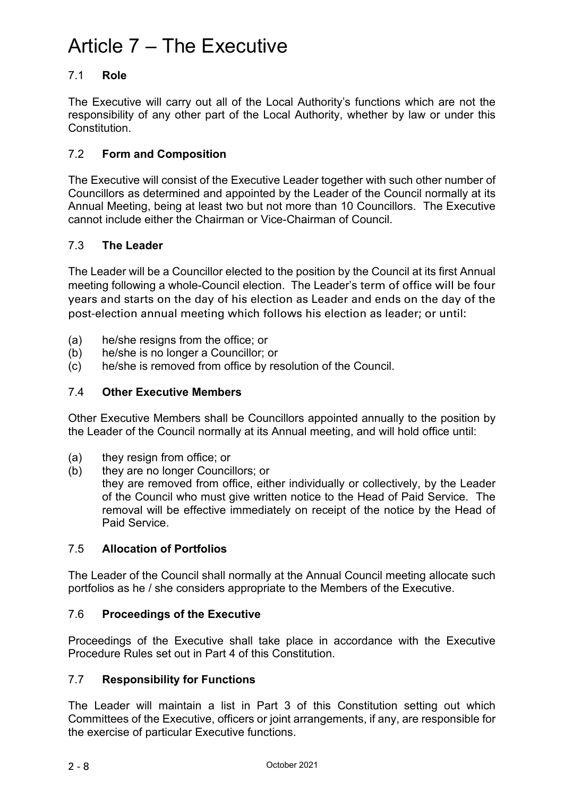## Article 7 – The Executive

## 7.1 **Role**

The Executive will carry out all of the Local Authority's functions which are not the responsibility of any other part of the Local Authority, whether by law or under this **Constitution** 

## 7.2 **Form and Composition**

The Executive will consist of the Executive Leader together with such other number of Councillors as determined and appointed by the Leader of the Council normally at its Annual Meeting, being at least two but not more than 10 Councillors. The Executive cannot include either the Chairman or Vice-Chairman of Council.

## 7.3 **The Leader**

The Leader will be a Councillor elected to the position by the Council at its first Annual meeting following a whole-Council election. The Leader's term of office will be four years and starts on the day of his election as Leader and ends on the day of the post-election annual meeting which follows his election as leader; or until:

- (a) he/she resigns from the office; or
- (b) he/she is no longer a Councillor; or
- (c) he/she is removed from office by resolution of the Council.

## 7.4 **Other Executive Members**

Other Executive Members shall be Councillors appointed annually to the position by the Leader of the Council normally at its Annual meeting, and will hold office until:

- (a) they resign from office; or
- (b) they are no longer Councillors; or
	- they are removed from office, either individually or collectively, by the Leader of the Council who must give written notice to the Head of Paid Service. The removal will be effective immediately on receipt of the notice by the Head of Paid Service.

## 7.5 **Allocation of Portfolios**

The Leader of the Council shall normally at the Annual Council meeting allocate such portfolios as he / she considers appropriate to the Members of the Executive.

#### 7.6 **Proceedings of the Executive**

Proceedings of the Executive shall take place in accordance with the Executive Procedure Rules set out in Part 4 of this Constitution.

#### 7.7 **Responsibility for Functions**

The Leader will maintain a list in Part 3 of this Constitution setting out which Committees of the Executive, officers or joint arrangements, if any, are responsible for the exercise of particular Executive functions.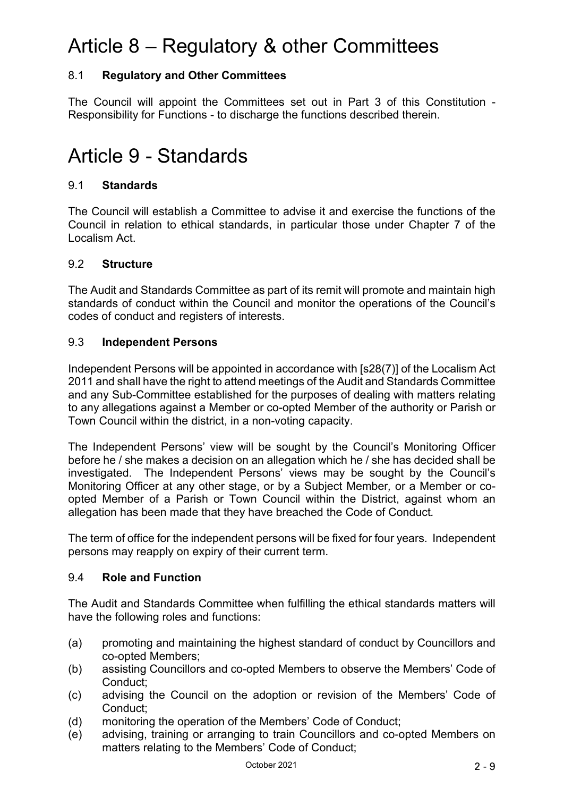## Article 8 – Regulatory & other Committees

## 8.1 **Regulatory and Other Committees**

The Council will appoint the Committees set out in Part 3 of this Constitution - Responsibility for Functions - to discharge the functions described therein.

## Article 9 - Standards

### 9.1 **Standards**

The Council will establish a Committee to advise it and exercise the functions of the Council in relation to ethical standards, in particular those under Chapter 7 of the Localism Act.

#### 9.2 **Structure**

The Audit and Standards Committee as part of its remit will promote and maintain high standards of conduct within the Council and monitor the operations of the Council's codes of conduct and registers of interests.

#### 9.3 **Independent Persons**

Independent Persons will be appointed in accordance with [s28(7)] of the Localism Act 2011 and shall have the right to attend meetings of the Audit and Standards Committee and any Sub-Committee established for the purposes of dealing with matters relating to any allegations against a Member or co-opted Member of the authority or Parish or Town Council within the district, in a non-voting capacity.

The Independent Persons' view will be sought by the Council's Monitoring Officer before he / she makes a decision on an allegation which he / she has decided shall be investigated. The Independent Persons' views may be sought by the Council's Monitoring Officer at any other stage, or by a Subject Member*,* or a Member or coopted Member of a Parish or Town Council within the District, against whom an allegation has been made that they have breached the Code of Conduct*.*

The term of office for the independent persons will be fixed for four years. Independent persons may reapply on expiry of their current term.

#### 9.4 **Role and Function**

The Audit and Standards Committee when fulfilling the ethical standards matters will have the following roles and functions:

- (a) promoting and maintaining the highest standard of conduct by Councillors and co-opted Members;
- (b) assisting Councillors and co-opted Members to observe the Members' Code of Conduct;
- (c) advising the Council on the adoption or revision of the Members' Code of Conduct;
- (d) monitoring the operation of the Members' Code of Conduct;
- (e) advising, training or arranging to train Councillors and co-opted Members on matters relating to the Members' Code of Conduct;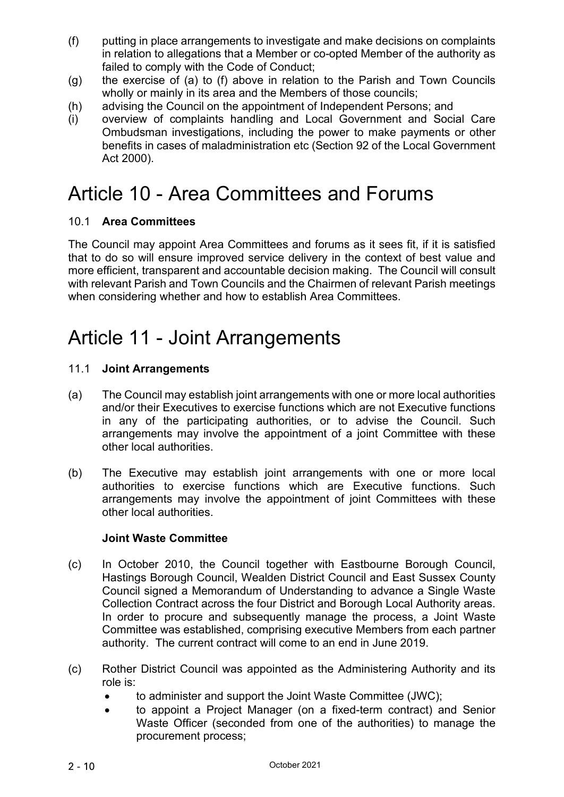- (f) putting in place arrangements to investigate and make decisions on complaints in relation to allegations that a Member or co-opted Member of the authority as failed to comply with the Code of Conduct;
- (g) the exercise of (a) to (f) above in relation to the Parish and Town Councils wholly or mainly in its area and the Members of those councils;
- (h) advising the Council on the appointment of Independent Persons; and
- (i) overview of complaints handling and Local Government and Social Care Ombudsman investigations, including the power to make payments or other benefits in cases of maladministration etc (Section 92 of the Local Government Act 2000).

## Article 10 - Area Committees and Forums

#### 10.1 **Area Committees**

The Council may appoint Area Committees and forums as it sees fit, if it is satisfied that to do so will ensure improved service delivery in the context of best value and more efficient, transparent and accountable decision making. The Council will consult with relevant Parish and Town Councils and the Chairmen of relevant Parish meetings when considering whether and how to establish Area Committees.

## Article 11 - Joint Arrangements

#### 11.1 **Joint Arrangements**

- (a) The Council may establish joint arrangements with one or more local authorities and/or their Executives to exercise functions which are not Executive functions in any of the participating authorities, or to advise the Council. Such arrangements may involve the appointment of a joint Committee with these other local authorities.
- (b) The Executive may establish joint arrangements with one or more local authorities to exercise functions which are Executive functions. Such arrangements may involve the appointment of joint Committees with these other local authorities.

#### **Joint Waste Committee**

- (c) In October 2010, the Council together with Eastbourne Borough Council, Hastings Borough Council, Wealden District Council and East Sussex County Council signed a Memorandum of Understanding to advance a Single Waste Collection Contract across the four District and Borough Local Authority areas. In order to procure and subsequently manage the process, a Joint Waste Committee was established, comprising executive Members from each partner authority. The current contract will come to an end in June 2019.
- (c) Rother District Council was appointed as the Administering Authority and its role is:
	- to administer and support the Joint Waste Committee (JWC);
	- to appoint a Project Manager (on a fixed-term contract) and Senior Waste Officer (seconded from one of the authorities) to manage the procurement process;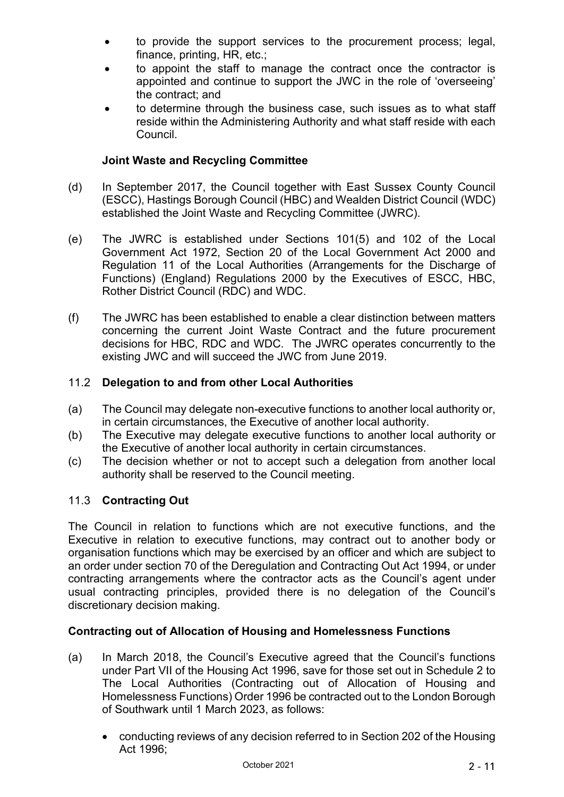- to provide the support services to the procurement process; legal, finance, printing, HR, etc.;
- to appoint the staff to manage the contract once the contractor is appointed and continue to support the JWC in the role of 'overseeing' the contract; and
- to determine through the business case, such issues as to what staff reside within the Administering Authority and what staff reside with each Council.

## **Joint Waste and Recycling Committee**

- (d) In September 2017, the Council together with East Sussex County Council (ESCC), Hastings Borough Council (HBC) and Wealden District Council (WDC) established the Joint Waste and Recycling Committee (JWRC).
- (e) The JWRC is established under Sections 101(5) and 102 of the Local Government Act 1972, Section 20 of the Local Government Act 2000 and Regulation 11 of the Local Authorities (Arrangements for the Discharge of Functions) (England) Regulations 2000 by the Executives of ESCC, HBC, Rother District Council (RDC) and WDC.
- (f) The JWRC has been established to enable a clear distinction between matters concerning the current Joint Waste Contract and the future procurement decisions for HBC, RDC and WDC. The JWRC operates concurrently to the existing JWC and will succeed the JWC from June 2019.

## 11.2 **Delegation to and from other Local Authorities**

- (a) The Council may delegate non-executive functions to another local authority or, in certain circumstances, the Executive of another local authority.
- (b) The Executive may delegate executive functions to another local authority or the Executive of another local authority in certain circumstances.
- (c) The decision whether or not to accept such a delegation from another local authority shall be reserved to the Council meeting.

## 11.3 **Contracting Out**

The Council in relation to functions which are not executive functions, and the Executive in relation to executive functions, may contract out to another body or organisation functions which may be exercised by an officer and which are subject to an order under section 70 of the Deregulation and Contracting Out Act 1994, or under contracting arrangements where the contractor acts as the Council's agent under usual contracting principles, provided there is no delegation of the Council's discretionary decision making.

## **Contracting out of Allocation of Housing and Homelessness Functions**

- (a) In March 2018, the Council's Executive agreed that the Council's functions under Part VII of the Housing Act 1996, save for those set out in Schedule 2 to The Local Authorities (Contracting out of Allocation of Housing and Homelessness Functions) Order 1996 be contracted out to the London Borough of Southwark until 1 March 2023, as follows:
	- conducting reviews of any decision referred to in Section 202 of the Housing Act 1996;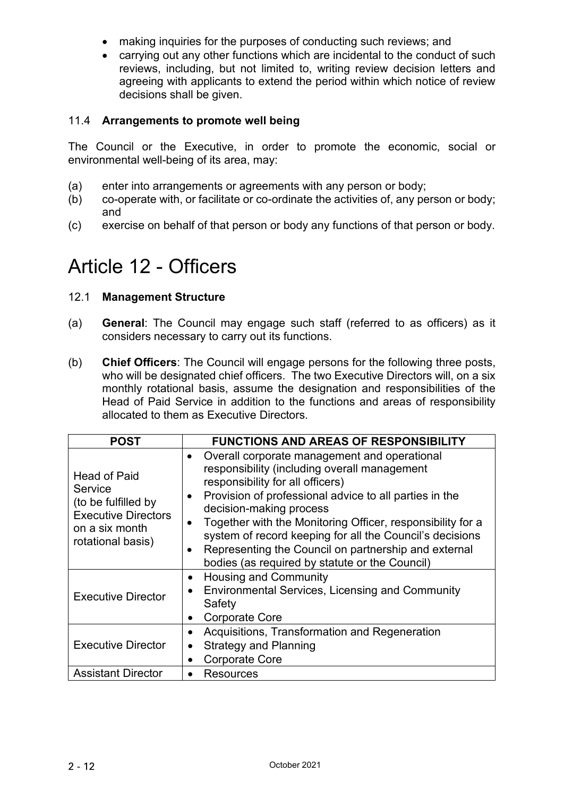- making inquiries for the purposes of conducting such reviews; and
- carrying out any other functions which are incidental to the conduct of such reviews, including, but not limited to, writing review decision letters and agreeing with applicants to extend the period within which notice of review decisions shall be given.

#### 11.4 **Arrangements to promote well being**

The Council or the Executive, in order to promote the economic, social or environmental well-being of its area, may:

- (a) enter into arrangements or agreements with any person or body;
- (b) co-operate with, or facilitate or co-ordinate the activities of, any person or body; and
- (c) exercise on behalf of that person or body any functions of that person or body.

## Article 12 - Officers

### 12.1 **Management Structure**

- (a) **General**: The Council may engage such staff (referred to as officers) as it considers necessary to carry out its functions.
- (b) **Chief Officers**: The Council will engage persons for the following three posts, who will be designated chief officers. The two Executive Directors will, on a six monthly rotational basis, assume the designation and responsibilities of the Head of Paid Service in addition to the functions and areas of responsibility allocated to them as Executive Directors.

| <b>POST</b>                                                                                                                | <b>FUNCTIONS AND AREAS OF RESPONSIBILITY</b>                                                                                                                                                                                                                                                                                                                                                                                                                                                     |  |
|----------------------------------------------------------------------------------------------------------------------------|--------------------------------------------------------------------------------------------------------------------------------------------------------------------------------------------------------------------------------------------------------------------------------------------------------------------------------------------------------------------------------------------------------------------------------------------------------------------------------------------------|--|
| <b>Head of Paid</b><br>Service<br>(to be fulfilled by<br><b>Executive Directors</b><br>on a six month<br>rotational basis) | Overall corporate management and operational<br>$\bullet$<br>responsibility (including overall management<br>responsibility for all officers)<br>Provision of professional advice to all parties in the<br>$\bullet$<br>decision-making process<br>Together with the Monitoring Officer, responsibility for a<br>$\bullet$<br>system of record keeping for all the Council's decisions<br>Representing the Council on partnership and external<br>bodies (as required by statute or the Council) |  |
| <b>Executive Director</b>                                                                                                  | <b>Housing and Community</b><br>$\bullet$<br><b>Environmental Services, Licensing and Community</b><br>$\bullet$<br>Safety<br><b>Corporate Core</b><br>$\bullet$                                                                                                                                                                                                                                                                                                                                 |  |
| <b>Executive Director</b>                                                                                                  | Acquisitions, Transformation and Regeneration<br>$\bullet$<br><b>Strategy and Planning</b><br>$\bullet$<br><b>Corporate Core</b><br>$\bullet$                                                                                                                                                                                                                                                                                                                                                    |  |
| <b>Assistant Director</b>                                                                                                  | <b>Resources</b><br>$\bullet$                                                                                                                                                                                                                                                                                                                                                                                                                                                                    |  |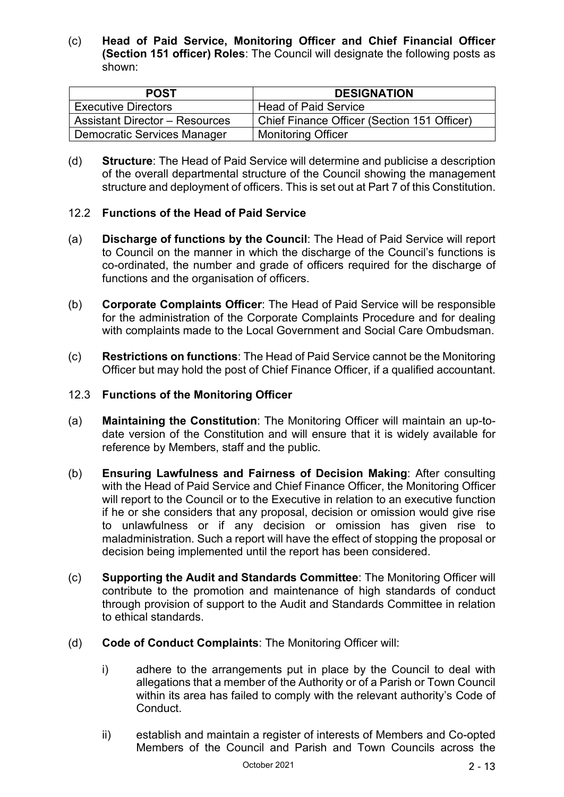(c) **Head of Paid Service, Monitoring Officer and Chief Financial Officer (Section 151 officer) Roles**: The Council will designate the following posts as shown:

| <b>POST</b>                           | <b>DESIGNATION</b>                          |
|---------------------------------------|---------------------------------------------|
| <b>Executive Directors</b>            | <b>Head of Paid Service</b>                 |
| <b>Assistant Director - Resources</b> | Chief Finance Officer (Section 151 Officer) |
| <b>Democratic Services Manager</b>    | <b>Monitoring Officer</b>                   |

(d) **Structure**: The Head of Paid Service will determine and publicise a description of the overall departmental structure of the Council showing the management structure and deployment of officers. This is set out at Part 7 of this Constitution.

#### 12.2 **Functions of the Head of Paid Service**

- (a) **Discharge of functions by the Council**: The Head of Paid Service will report to Council on the manner in which the discharge of the Council's functions is co-ordinated, the number and grade of officers required for the discharge of functions and the organisation of officers.
- (b) **Corporate Complaints Officer**: The Head of Paid Service will be responsible for the administration of the Corporate Complaints Procedure and for dealing with complaints made to the Local Government and Social Care Ombudsman.
- (c) **Restrictions on functions**: The Head of Paid Service cannot be the Monitoring Officer but may hold the post of Chief Finance Officer, if a qualified accountant.

#### 12.3 **Functions of the Monitoring Officer**

- (a) **Maintaining the Constitution**: The Monitoring Officer will maintain an up-todate version of the Constitution and will ensure that it is widely available for reference by Members, staff and the public.
- (b) **Ensuring Lawfulness and Fairness of Decision Making**: After consulting with the Head of Paid Service and Chief Finance Officer, the Monitoring Officer will report to the Council or to the Executive in relation to an executive function if he or she considers that any proposal, decision or omission would give rise to unlawfulness or if any decision or omission has given rise to maladministration. Such a report will have the effect of stopping the proposal or decision being implemented until the report has been considered.
- (c) **Supporting the Audit and Standards Committee**: The Monitoring Officer will contribute to the promotion and maintenance of high standards of conduct through provision of support to the Audit and Standards Committee in relation to ethical standards.
- (d) **Code of Conduct Complaints**: The Monitoring Officer will:
	- i) adhere to the arrangements put in place by the Council to deal with allegations that a member of the Authority or of a Parish or Town Council within its area has failed to comply with the relevant authority's Code of Conduct.
	- ii) establish and maintain a register of interests of Members and Co-opted Members of the Council and Parish and Town Councils across the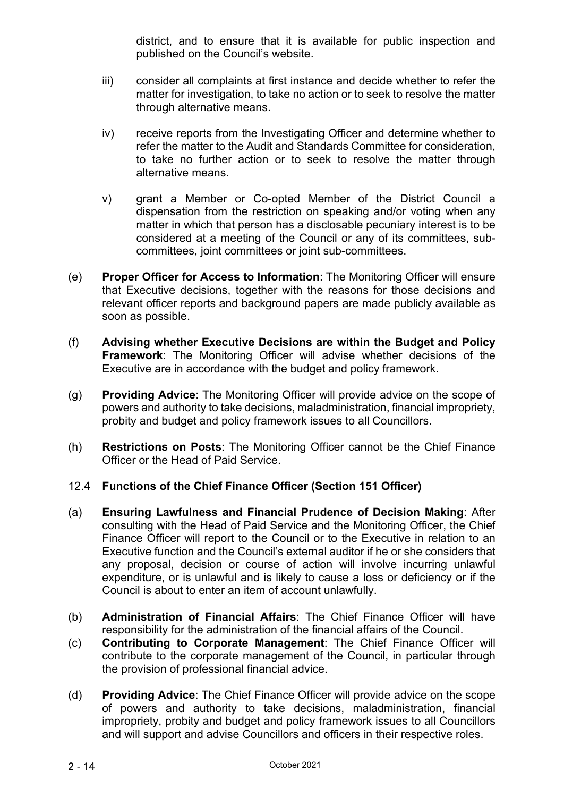district, and to ensure that it is available for public inspection and published on the Council's website.

- iii) consider all complaints at first instance and decide whether to refer the matter for investigation, to take no action or to seek to resolve the matter through alternative means.
- iv) receive reports from the Investigating Officer and determine whether to refer the matter to the Audit and Standards Committee for consideration, to take no further action or to seek to resolve the matter through alternative means.
- v) grant a Member or Co-opted Member of the District Council a dispensation from the restriction on speaking and/or voting when any matter in which that person has a disclosable pecuniary interest is to be considered at a meeting of the Council or any of its committees, subcommittees, joint committees or joint sub-committees.
- (e) **Proper Officer for Access to Information**: The Monitoring Officer will ensure that Executive decisions, together with the reasons for those decisions and relevant officer reports and background papers are made publicly available as soon as possible.
- (f) **Advising whether Executive Decisions are within the Budget and Policy Framework**: The Monitoring Officer will advise whether decisions of the Executive are in accordance with the budget and policy framework.
- (g) **Providing Advice**: The Monitoring Officer will provide advice on the scope of powers and authority to take decisions, maladministration, financial impropriety, probity and budget and policy framework issues to all Councillors.
- (h) **Restrictions on Posts**: The Monitoring Officer cannot be the Chief Finance Officer or the Head of Paid Service.

## 12.4 **Functions of the Chief Finance Officer (Section 151 Officer)**

- (a) **Ensuring Lawfulness and Financial Prudence of Decision Making**: After consulting with the Head of Paid Service and the Monitoring Officer, the Chief Finance Officer will report to the Council or to the Executive in relation to an Executive function and the Council's external auditor if he or she considers that any proposal, decision or course of action will involve incurring unlawful expenditure, or is unlawful and is likely to cause a loss or deficiency or if the Council is about to enter an item of account unlawfully.
- (b) **Administration of Financial Affairs**: The Chief Finance Officer will have responsibility for the administration of the financial affairs of the Council.
- (c) **Contributing to Corporate Management**: The Chief Finance Officer will contribute to the corporate management of the Council, in particular through the provision of professional financial advice.
- (d) **Providing Advice**: The Chief Finance Officer will provide advice on the scope of powers and authority to take decisions, maladministration, financial impropriety, probity and budget and policy framework issues to all Councillors and will support and advise Councillors and officers in their respective roles.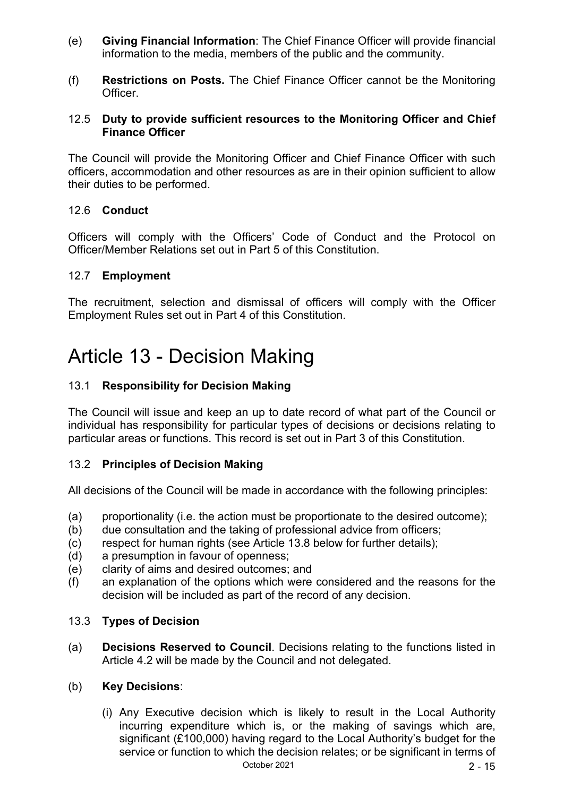- (e) **Giving Financial Information**: The Chief Finance Officer will provide financial information to the media, members of the public and the community.
- (f) **Restrictions on Posts.** The Chief Finance Officer cannot be the Monitoring Officer.

#### 12.5 **Duty to provide sufficient resources to the Monitoring Officer and Chief Finance Officer**

The Council will provide the Monitoring Officer and Chief Finance Officer with such officers, accommodation and other resources as are in their opinion sufficient to allow their duties to be performed.

#### 12.6 **Conduct**

Officers will comply with the Officers' Code of Conduct and the Protocol on Officer/Member Relations set out in Part 5 of this Constitution.

#### 12.7 **Employment**

The recruitment, selection and dismissal of officers will comply with the Officer Employment Rules set out in Part 4 of this Constitution.

## Article 13 - Decision Making

## 13.1 **Responsibility for Decision Making**

The Council will issue and keep an up to date record of what part of the Council or individual has responsibility for particular types of decisions or decisions relating to particular areas or functions. This record is set out in Part 3 of this Constitution.

#### 13.2 **Principles of Decision Making**

All decisions of the Council will be made in accordance with the following principles:

- (a) proportionality (i.e. the action must be proportionate to the desired outcome);
- (b) due consultation and the taking of professional advice from officers;
- (c) respect for human rights (see Article 13.8 below for further details);
- (d) a presumption in favour of openness;
- (e) clarity of aims and desired outcomes; and
- (f) an explanation of the options which were considered and the reasons for the decision will be included as part of the record of any decision.

#### 13.3 **Types of Decision**

(a) **Decisions Reserved to Council**. Decisions relating to the functions listed in Article 4.2 will be made by the Council and not delegated.

#### (b) **Key Decisions**:

October 2021 2 - 15 (i) Any Executive decision which is likely to result in the Local Authority incurring expenditure which is, or the making of savings which are, significant (£100,000) having regard to the Local Authority's budget for the service or function to which the decision relates; or be significant in terms of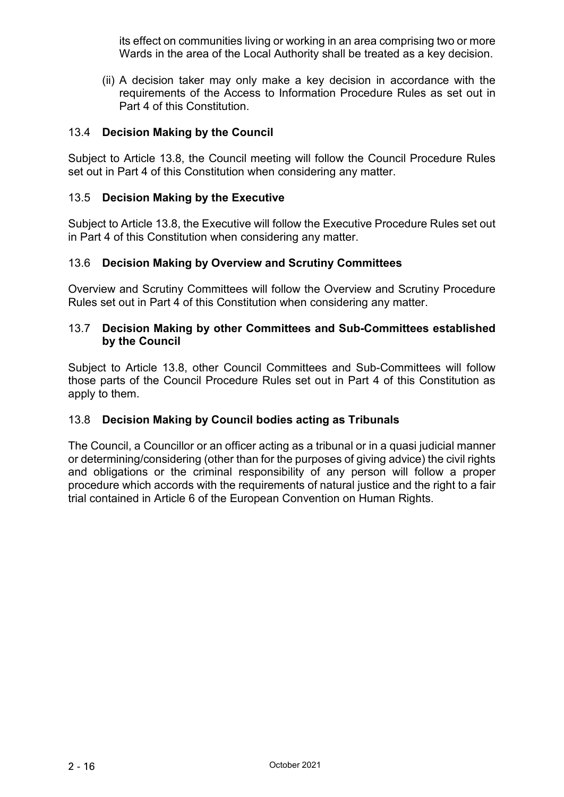its effect on communities living or working in an area comprising two or more Wards in the area of the Local Authority shall be treated as a key decision.

(ii) A decision taker may only make a key decision in accordance with the requirements of the Access to Information Procedure Rules as set out in Part 4 of this Constitution.

#### 13.4 **Decision Making by the Council**

Subject to Article 13.8, the Council meeting will follow the Council Procedure Rules set out in Part 4 of this Constitution when considering any matter.

#### 13.5 **Decision Making by the Executive**

Subject to Article 13.8, the Executive will follow the Executive Procedure Rules set out in Part 4 of this Constitution when considering any matter.

#### 13.6 **Decision Making by Overview and Scrutiny Committees**

Overview and Scrutiny Committees will follow the Overview and Scrutiny Procedure Rules set out in Part 4 of this Constitution when considering any matter.

#### 13.7 **Decision Making by other Committees and Sub-Committees established by the Council**

Subject to Article 13.8, other Council Committees and Sub-Committees will follow those parts of the Council Procedure Rules set out in Part 4 of this Constitution as apply to them.

## 13.8 **Decision Making by Council bodies acting as Tribunals**

The Council, a Councillor or an officer acting as a tribunal or in a quasi judicial manner or determining/considering (other than for the purposes of giving advice) the civil rights and obligations or the criminal responsibility of any person will follow a proper procedure which accords with the requirements of natural justice and the right to a fair trial contained in Article 6 of the European Convention on Human Rights.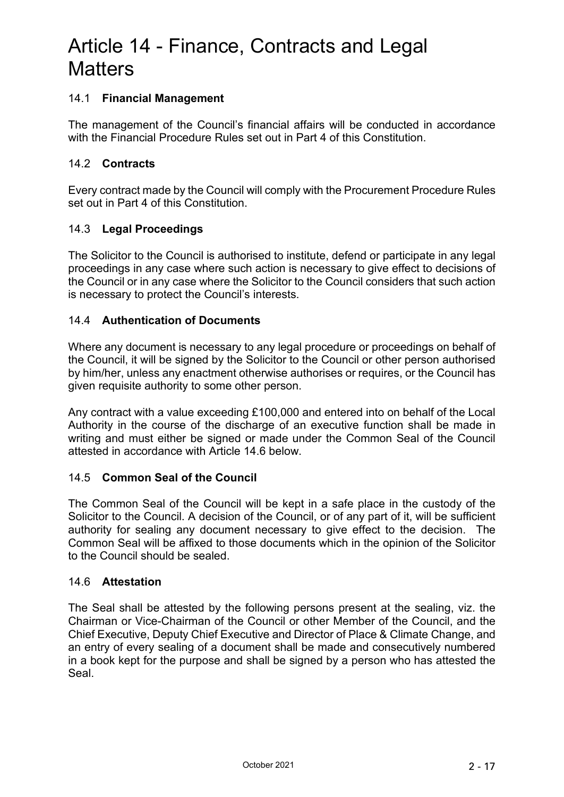## Article 14 - Finance, Contracts and Legal **Matters**

### 14.1 **Financial Management**

The management of the Council's financial affairs will be conducted in accordance with the Financial Procedure Rules set out in Part 4 of this Constitution.

#### 14.2 **Contracts**

Every contract made by the Council will comply with the Procurement Procedure Rules set out in Part 4 of this Constitution.

#### 14.3 **Legal Proceedings**

The Solicitor to the Council is authorised to institute, defend or participate in any legal proceedings in any case where such action is necessary to give effect to decisions of the Council or in any case where the Solicitor to the Council considers that such action is necessary to protect the Council's interests.

### 14.4 **Authentication of Documents**

Where any document is necessary to any legal procedure or proceedings on behalf of the Council, it will be signed by the Solicitor to the Council or other person authorised by him/her, unless any enactment otherwise authorises or requires, or the Council has given requisite authority to some other person.

Any contract with a value exceeding £100,000 and entered into on behalf of the Local Authority in the course of the discharge of an executive function shall be made in writing and must either be signed or made under the Common Seal of the Council attested in accordance with Article 14.6 below.

#### 14.5 **Common Seal of the Council**

The Common Seal of the Council will be kept in a safe place in the custody of the Solicitor to the Council. A decision of the Council, or of any part of it, will be sufficient authority for sealing any document necessary to give effect to the decision. The Common Seal will be affixed to those documents which in the opinion of the Solicitor to the Council should be sealed.

#### 14.6 **Attestation**

The Seal shall be attested by the following persons present at the sealing, viz. the Chairman or Vice-Chairman of the Council or other Member of the Council, and the Chief Executive, Deputy Chief Executive and Director of Place & Climate Change, and an entry of every sealing of a document shall be made and consecutively numbered in a book kept for the purpose and shall be signed by a person who has attested the Seal.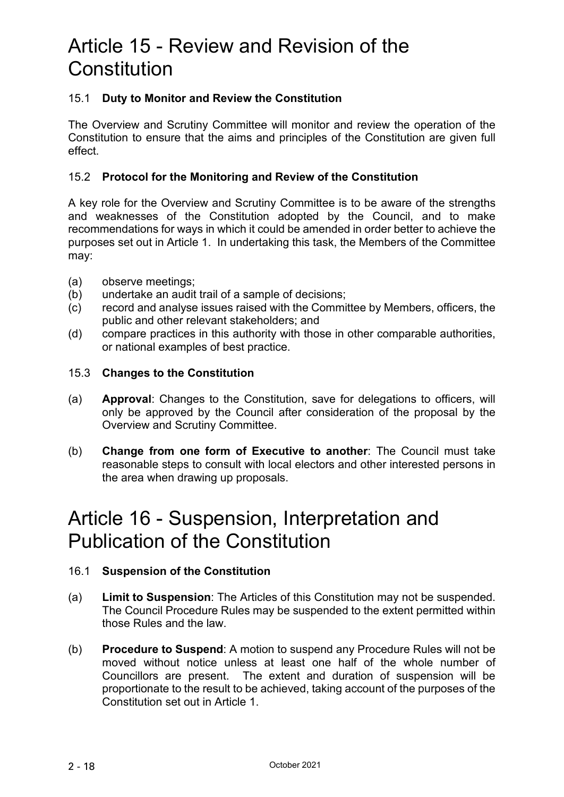## Article 15 - Review and Revision of the **Constitution**

## 15.1 **Duty to Monitor and Review the Constitution**

The Overview and Scrutiny Committee will monitor and review the operation of the Constitution to ensure that the aims and principles of the Constitution are given full effect.

#### 15.2 **Protocol for the Monitoring and Review of the Constitution**

A key role for the Overview and Scrutiny Committee is to be aware of the strengths and weaknesses of the Constitution adopted by the Council, and to make recommendations for ways in which it could be amended in order better to achieve the purposes set out in Article 1. In undertaking this task, the Members of the Committee may:

- (a) observe meetings;
- (b) undertake an audit trail of a sample of decisions;
- (c) record and analyse issues raised with the Committee by Members, officers, the public and other relevant stakeholders; and
- (d) compare practices in this authority with those in other comparable authorities, or national examples of best practice.

#### 15.3 **Changes to the Constitution**

- (a) **Approval**: Changes to the Constitution, save for delegations to officers, will only be approved by the Council after consideration of the proposal by the Overview and Scrutiny Committee.
- (b) **Change from one form of Executive to another**: The Council must take reasonable steps to consult with local electors and other interested persons in the area when drawing up proposals.

## Article 16 - Suspension, Interpretation and Publication of the Constitution

#### 16.1 **Suspension of the Constitution**

- (a) **Limit to Suspension**: The Articles of this Constitution may not be suspended. The Council Procedure Rules may be suspended to the extent permitted within those Rules and the law.
- (b) **Procedure to Suspend**: A motion to suspend any Procedure Rules will not be moved without notice unless at least one half of the whole number of Councillors are present. The extent and duration of suspension will be proportionate to the result to be achieved, taking account of the purposes of the Constitution set out in Article 1.